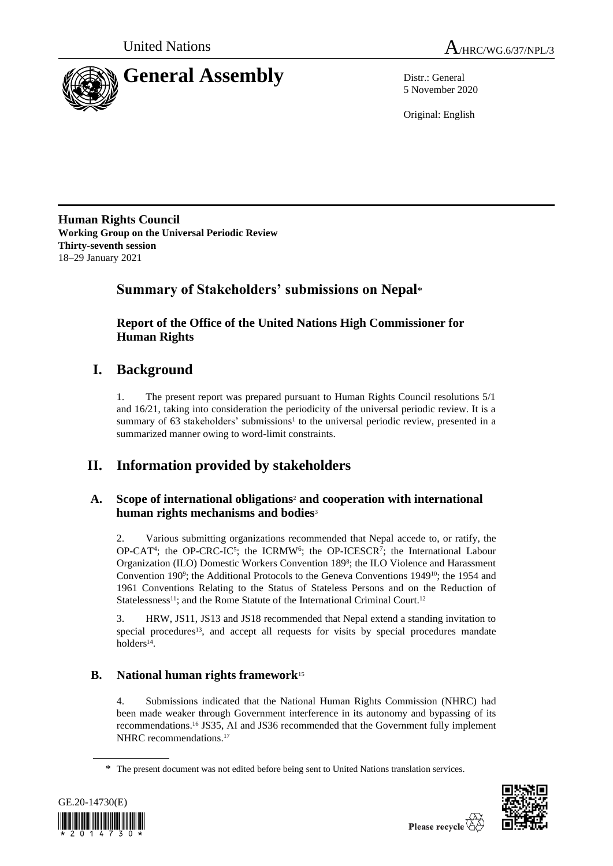



5 November 2020

Original: English

**Human Rights Council Working Group on the Universal Periodic Review Thirty-seventh session** 18–29 January 2021

## **Summary of Stakeholders' submissions on Nepal**\*

**Report of the Office of the United Nations High Commissioner for Human Rights**

## **I. Background**

1. The present report was prepared pursuant to Human Rights Council resolutions 5/1 and 16/21, taking into consideration the periodicity of the universal periodic review. It is a summary of  $63$  stakeholders' submissions<sup>1</sup> to the universal periodic review, presented in a summarized manner owing to word-limit constraints.

# **II. Information provided by stakeholders**

### **A. Scope of international obligations**<sup>2</sup> **and cooperation with international human rights mechanisms and bodies**<sup>3</sup>

2. Various submitting organizations recommended that Nepal accede to, or ratify, the  $OP-CAT<sup>4</sup>$ ; the OP-CRC-IC<sup>5</sup>; the ICRMW<sup>6</sup>; the OP-ICESCR<sup>7</sup>; the International Labour Organization (ILO) Domestic Workers Convention 189<sup>8</sup> ; the ILO Violence and Harassment Convention 190<sup>9</sup>; the Additional Protocols to the Geneva Conventions 1949<sup>10</sup>; the 1954 and 1961 Conventions Relating to the Status of Stateless Persons and on the Reduction of Statelessness<sup>11</sup>; and the Rome Statute of the International Criminal Court.<sup>12</sup>

3. HRW, JS11, JS13 and JS18 recommended that Nepal extend a standing invitation to special procedures<sup>13</sup>, and accept all requests for visits by special procedures mandate holders<sup>14</sup>.

## **B. National human rights framework**<sup>15</sup>

4. Submissions indicated that the National Human Rights Commission (NHRC) had been made weaker through Government interference in its autonomy and bypassing of its recommendations. <sup>16</sup> JS35, AI and JS36 recommended that the Government fully implement NHRC recommendations. 17

<sup>\*</sup> The present document was not edited before being sent to United Nations translation services.



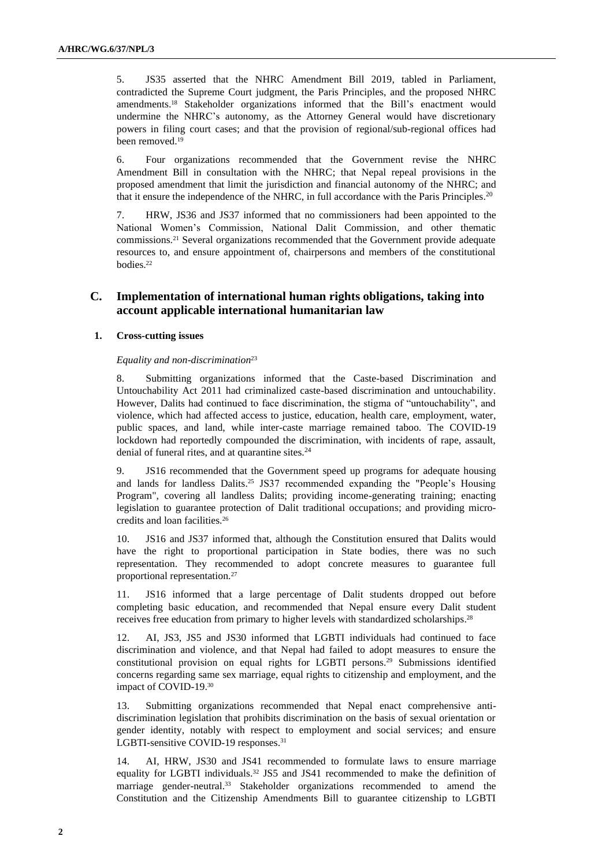5. JS35 asserted that the NHRC Amendment Bill 2019, tabled in Parliament, contradicted the Supreme Court judgment, the Paris Principles, and the proposed NHRC amendments. <sup>18</sup> Stakeholder organizations informed that the Bill's enactment would undermine the NHRC's autonomy, as the Attorney General would have discretionary powers in filing court cases; and that the provision of regional/sub-regional offices had been removed.<sup>19</sup>

6. Four organizations recommended that the Government revise the NHRC Amendment Bill in consultation with the NHRC; that Nepal repeal provisions in the proposed amendment that limit the jurisdiction and financial autonomy of the NHRC; and that it ensure the independence of the NHRC, in full accordance with the Paris Principles.<sup>20</sup>

7. HRW, JS36 and JS37 informed that no commissioners had been appointed to the National Women's Commission, National Dalit Commission, and other thematic commissions.<sup>21</sup> Several organizations recommended that the Government provide adequate resources to, and ensure appointment of, chairpersons and members of the constitutional bodies.<sup>22</sup>

### **C. Implementation of international human rights obligations, taking into account applicable international humanitarian law**

#### **1. Cross-cutting issues**

### *Equality and non-discrimination*<sup>23</sup>

8. Submitting organizations informed that the Caste-based Discrimination and Untouchability Act 2011 had criminalized caste-based discrimination and untouchability. However, Dalits had continued to face discrimination, the stigma of "untouchability", and violence, which had affected access to justice, education, health care, employment, water, public spaces, and land, while inter-caste marriage remained taboo. The COVID-19 lockdown had reportedly compounded the discrimination, with incidents of rape, assault, denial of funeral rites, and at quarantine sites. $24$ 

9. JS16 recommended that the Government speed up programs for adequate housing and lands for landless Dalits. <sup>25</sup> JS37 recommended expanding the "People's Housing Program", covering all landless Dalits; providing income-generating training; enacting legislation to guarantee protection of Dalit traditional occupations; and providing microcredits and loan facilities.<sup>26</sup>

10. JS16 and JS37 informed that, although the Constitution ensured that Dalits would have the right to proportional participation in State bodies, there was no such representation. They recommended to adopt concrete measures to guarantee full proportional representation.<sup>27</sup>

11. JS16 informed that a large percentage of Dalit students dropped out before completing basic education, and recommended that Nepal ensure every Dalit student receives free education from primary to higher levels with standardized scholarships.<sup>28</sup>

12. AI, JS3, JS5 and JS30 informed that LGBTI individuals had continued to face discrimination and violence, and that Nepal had failed to adopt measures to ensure the constitutional provision on equal rights for LGBTI persons. <sup>29</sup> Submissions identified concerns regarding same sex marriage, equal rights to citizenship and employment, and the impact of COVID-19.<sup>30</sup>

13. Submitting organizations recommended that Nepal enact comprehensive antidiscrimination legislation that prohibits discrimination on the basis of sexual orientation or gender identity, notably with respect to employment and social services; and ensure LGBTI-sensitive COVID-19 responses.<sup>31</sup>

AI, HRW, JS30 and JS41 recommended to formulate laws to ensure marriage equality for LGBTI individuals. <sup>32</sup> JS5 and JS41 recommended to make the definition of marriage gender-neutral. <sup>33</sup> Stakeholder organizations recommended to amend the Constitution and the Citizenship Amendments Bill to guarantee citizenship to LGBTI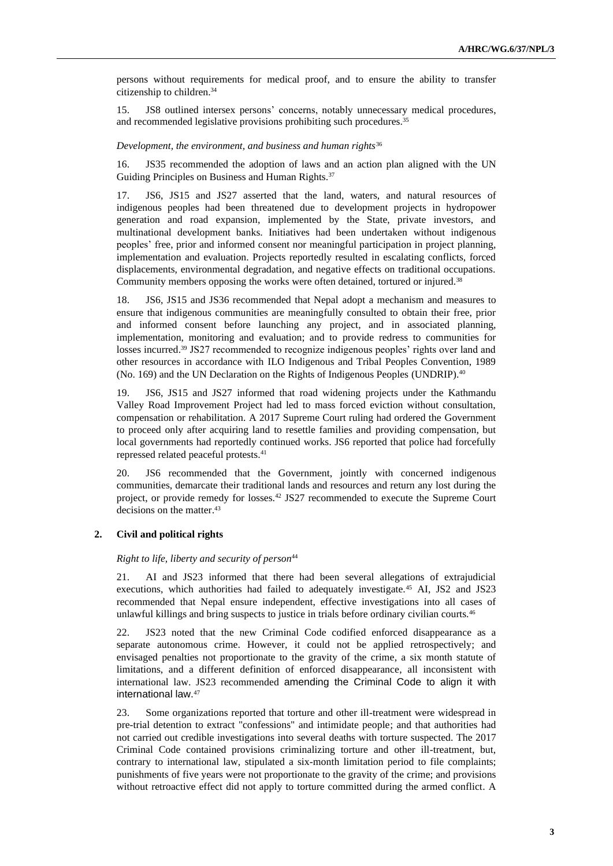persons without requirements for medical proof, and to ensure the ability to transfer citizenship to children. 34

15. JS8 outlined intersex persons' concerns, notably unnecessary medical procedures, and recommended legislative provisions prohibiting such procedures.<sup>35</sup>

#### *Development, the environment, and business and human rights*<sup>36</sup>

16. JS35 recommended the adoption of laws and an action plan aligned with the UN Guiding Principles on Business and Human Rights.<sup>37</sup>

17. JS6, JS15 and JS27 asserted that the land, waters, and natural resources of indigenous peoples had been threatened due to development projects in hydropower generation and road expansion, implemented by the State, private investors, and multinational development banks. Initiatives had been undertaken without indigenous peoples' free, prior and informed consent nor meaningful participation in project planning, implementation and evaluation. Projects reportedly resulted in escalating conflicts, forced displacements, environmental degradation, and negative effects on traditional occupations. Community members opposing the works were often detained, tortured or injured.<sup>38</sup>

18. JS6, JS15 and JS36 recommended that Nepal adopt a mechanism and measures to ensure that indigenous communities are meaningfully consulted to obtain their free, prior and informed consent before launching any project, and in associated planning, implementation, monitoring and evaluation; and to provide redress to communities for losses incurred. <sup>39</sup> JS27 recommended to recognize indigenous peoples' rights over land and other resources in accordance with ILO Indigenous and Tribal Peoples Convention, 1989 (No. 169) and the UN Declaration on the Rights of Indigenous Peoples (UNDRIP). 40

19. JS6, JS15 and JS27 informed that road widening projects under the Kathmandu Valley Road Improvement Project had led to mass forced eviction without consultation, compensation or rehabilitation. A 2017 Supreme Court ruling had ordered the Government to proceed only after acquiring land to resettle families and providing compensation, but local governments had reportedly continued works. JS6 reported that police had forcefully repressed related peaceful protests. 41

20. JS6 recommended that the Government, jointly with concerned indigenous communities, demarcate their traditional lands and resources and return any lost during the project, or provide remedy for losses. <sup>42</sup> JS27 recommended to execute the Supreme Court decisions on the matter. 43

#### **2. Civil and political rights**

#### *Right to life, liberty and security of person*<sup>44</sup>

21. AI and JS23 informed that there had been several allegations of extrajudicial executions, which authorities had failed to adequately investigate.<sup>45</sup> AI, JS2 and JS23 recommended that Nepal ensure independent, effective investigations into all cases of unlawful killings and bring suspects to justice in trials before ordinary civilian courts.<sup>46</sup>

22. JS23 noted that the new Criminal Code codified enforced disappearance as a separate autonomous crime. However, it could not be applied retrospectively; and envisaged penalties not proportionate to the gravity of the crime, a six month statute of limitations, and a different definition of enforced disappearance, all inconsistent with international law. JS23 recommended amending the Criminal Code to align it with international law.<sup>47</sup>

23. Some organizations reported that torture and other ill-treatment were widespread in pre-trial detention to extract "confessions" and intimidate people; and that authorities had not carried out credible investigations into several deaths with torture suspected. The 2017 Criminal Code contained provisions criminalizing torture and other ill-treatment, but, contrary to international law, stipulated a six-month limitation period to file complaints; punishments of five years were not proportionate to the gravity of the crime; and provisions without retroactive effect did not apply to torture committed during the armed conflict. A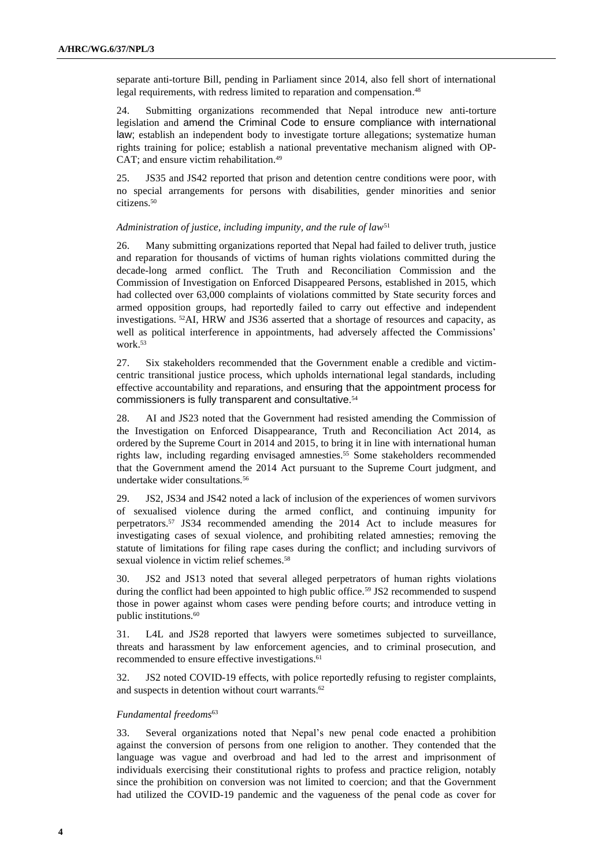separate anti-torture Bill, pending in Parliament since 2014, also fell short of international legal requirements, with redress limited to reparation and compensation. 48

24. Submitting organizations recommended that Nepal introduce new anti-torture legislation and amend the Criminal Code to ensure compliance with international law; establish an independent body to investigate torture allegations; systematize human rights training for police; establish a national preventative mechanism aligned with OP-CAT; and ensure victim rehabilitation. 49

25. JS35 and JS42 reported that prison and detention centre conditions were poor, with no special arrangements for persons with disabilities, gender minorities and senior citizens. 50

#### *Administration of justice, including impunity, and the rule of law*<sup>51</sup>

26. Many submitting organizations reported that Nepal had failed to deliver truth, justice and reparation for thousands of victims of human rights violations committed during the decade-long armed conflict. The Truth and Reconciliation Commission and the Commission of Investigation on Enforced Disappeared Persons, established in 2015, which had collected over 63,000 complaints of violations committed by State security forces and armed opposition groups, had reportedly failed to carry out effective and independent investigations. <sup>52</sup>AI, HRW and JS36 asserted that a shortage of resources and capacity, as well as political interference in appointments, had adversely affected the Commissions' work. 53

27. Six stakeholders recommended that the Government enable a credible and victimcentric transitional justice process, which upholds international legal standards, including effective accountability and reparations, and ensuring that the appointment process for commissioners is fully transparent and consultative. 54

28. AI and JS23 noted that the Government had resisted amending the Commission of the Investigation on Enforced Disappearance, Truth and Reconciliation Act 2014, as ordered by the Supreme Court in 2014 and 2015, to bring it in line with international human rights law, including regarding envisaged amnesties.<sup>55</sup> Some stakeholders recommended that the Government amend the 2014 Act pursuant to the Supreme Court judgment, and undertake wider consultations*.* 56

29. JS2, JS34 and JS42 noted a lack of inclusion of the experiences of women survivors of sexualised violence during the armed conflict, and continuing impunity for perpetrators. <sup>57</sup> JS34 recommended amending the 2014 Act to include measures for investigating cases of sexual violence, and prohibiting related amnesties; removing the statute of limitations for filing rape cases during the conflict; and including survivors of sexual violence in victim relief schemes.<sup>58</sup>

30. JS2 and JS13 noted that several alleged perpetrators of human rights violations during the conflict had been appointed to high public office.<sup>59</sup> JS2 recommended to suspend those in power against whom cases were pending before courts; and introduce vetting in public institutions.<sup>60</sup>

31. L4L and JS28 reported that lawyers were sometimes subjected to surveillance, threats and harassment by law enforcement agencies, and to criminal prosecution, and recommended to ensure effective investigations. 61

32. JS2 noted COVID-19 effects, with police reportedly refusing to register complaints, and suspects in detention without court warrants. 62

#### *Fundamental freedoms*<sup>63</sup>

33. Several organizations noted that Nepal's new penal code enacted a prohibition against the conversion of persons from one religion to another. They contended that the language was vague and overbroad and had led to the arrest and imprisonment of individuals exercising their constitutional rights to profess and practice religion, notably since the prohibition on conversion was not limited to coercion; and that the Government had utilized the COVID-19 pandemic and the vagueness of the penal code as cover for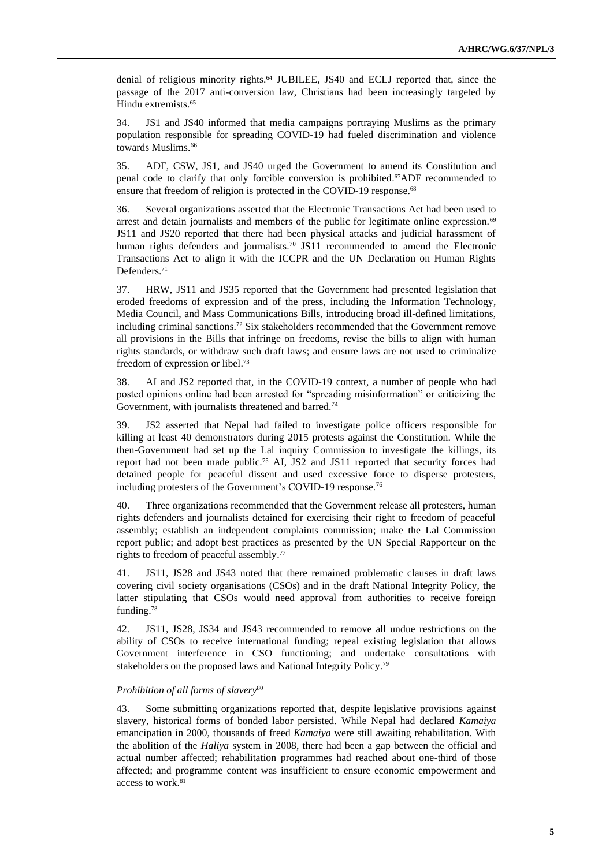denial of religious minority rights. <sup>64</sup> JUBILEE, JS40 and ECLJ reported that, since the passage of the 2017 anti-conversion law, Christians had been increasingly targeted by Hindu extremists. 65

34. JS1 and JS40 informed that media campaigns portraying Muslims as the primary population responsible for spreading COVID-19 had fueled discrimination and violence towards Muslims. 66

35. ADF, CSW, JS1, and JS40 urged the Government to amend its Constitution and penal code to clarify that only forcible conversion is prohibited. <sup>67</sup>ADF recommended to ensure that freedom of religion is protected in the COVID-19 response.<sup>68</sup>

36. Several organizations asserted that the Electronic Transactions Act had been used to arrest and detain journalists and members of the public for legitimate online expression.<sup>69</sup> JS11 and JS20 reported that there had been physical attacks and judicial harassment of human rights defenders and journalists.<sup>70</sup> JS11 recommended to amend the Electronic Transactions Act to align it with the ICCPR and the UN Declaration on Human Rights Defenders.<sup>71</sup>

37. HRW, JS11 and JS35 reported that the Government had presented legislation that eroded freedoms of expression and of the press, including the Information Technology, Media Council, and Mass Communications Bills, introducing broad ill-defined limitations, including criminal sanctions. <sup>72</sup> Six stakeholders recommended that the Government remove all provisions in the Bills that infringe on freedoms, revise the bills to align with human rights standards, or withdraw such draft laws; and ensure laws are not used to criminalize freedom of expression or libel. 73

38. AI and JS2 reported that, in the COVID-19 context, a number of people who had posted opinions online had been arrested for "spreading misinformation" or criticizing the Government, with journalists threatened and barred.<sup>74</sup>

39. JS2 asserted that Nepal had failed to investigate police officers responsible for killing at least 40 demonstrators during 2015 protests against the Constitution. While the then-Government had set up the Lal inquiry Commission to investigate the killings, its report had not been made public.<sup>75</sup> AI, JS2 and JS11 reported that security forces had detained people for peaceful dissent and used excessive force to disperse protesters, including protesters of the Government's COVID-19 response.<sup>76</sup>

40. Three organizations recommended that the Government release all protesters, human rights defenders and journalists detained for exercising their right to freedom of peaceful assembly; establish an independent complaints commission; make the Lal Commission report public; and adopt best practices as presented by the UN Special Rapporteur on the rights to freedom of peaceful assembly. 77

41. JS11, JS28 and JS43 noted that there remained problematic clauses in draft laws covering civil society organisations (CSOs) and in the draft National Integrity Policy, the latter stipulating that CSOs would need approval from authorities to receive foreign funding.<sup>78</sup>

42. JS11, JS28, JS34 and JS43 recommended to remove all undue restrictions on the ability of CSOs to receive international funding; repeal existing legislation that allows Government interference in CSO functioning; and undertake consultations with stakeholders on the proposed laws and National Integrity Policy.<sup>79</sup>

#### *Prohibition of all forms of slavery*<sup>80</sup>

43. Some submitting organizations reported that, despite legislative provisions against slavery, historical forms of bonded labor persisted. While Nepal had declared *Kamaiya* emancipation in 2000, thousands of freed *Kamaiya* were still awaiting rehabilitation. With the abolition of the *Haliya* system in 2008, there had been a gap between the official and actual number affected; rehabilitation programmes had reached about one-third of those affected; and programme content was insufficient to ensure economic empowerment and access to work.<sup>81</sup>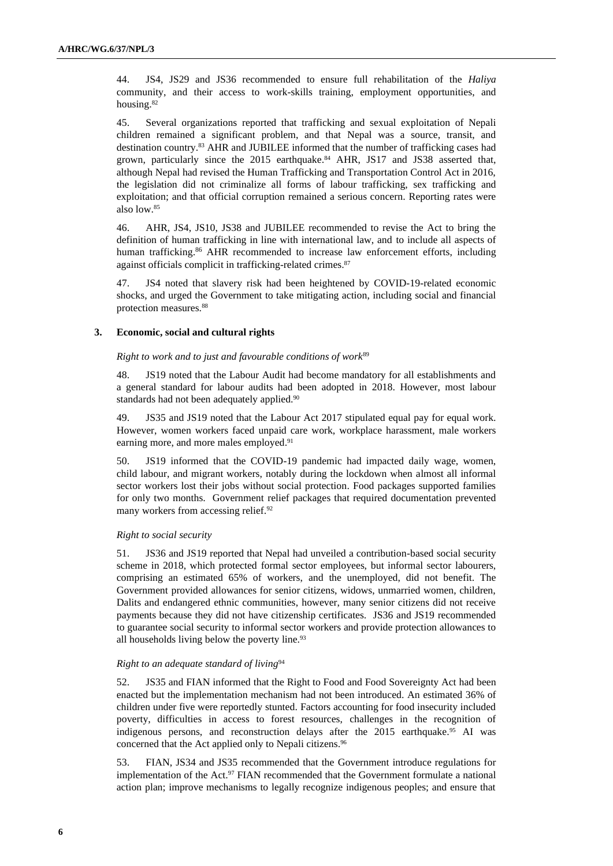44. JS4, JS29 and JS36 recommended to ensure full rehabilitation of the *Haliya* community, and their access to work-skills training, employment opportunities, and housing.<sup>82</sup>

45. Several organizations reported that trafficking and sexual exploitation of Nepali children remained a significant problem, and that Nepal was a source, transit, and destination country.<sup>83</sup> AHR and JUBILEE informed that the number of trafficking cases had grown, particularly since the 2015 earthquake. <sup>84</sup> AHR, JS17 and JS38 asserted that, although Nepal had revised the Human Trafficking and Transportation Control Act in 2016, the legislation did not criminalize all forms of labour trafficking, sex trafficking and exploitation; and that official corruption remained a serious concern. Reporting rates were also low.<sup>85</sup>

46. AHR, JS4, JS10, JS38 and JUBILEE recommended to revise the Act to bring the definition of human trafficking in line with international law, and to include all aspects of human trafficking.<sup>86</sup> AHR recommended to increase law enforcement efforts, including against officials complicit in trafficking-related crimes.<sup>87</sup>

47. JS4 noted that slavery risk had been heightened by COVID-19-related economic shocks, and urged the Government to take mitigating action, including social and financial protection measures.<sup>88</sup>

#### **3. Economic, social and cultural rights**

#### *Right to work and to just and favourable conditions of work*<sup>89</sup>

48. JS19 noted that the Labour Audit had become mandatory for all establishments and a general standard for labour audits had been adopted in 2018. However, most labour standards had not been adequately applied.<sup>90</sup>

49. JS35 and JS19 noted that the Labour Act 2017 stipulated equal pay for equal work. However, women workers faced unpaid care work, workplace harassment, male workers earning more, and more males employed.<sup>91</sup>

50. JS19 informed that the COVID-19 pandemic had impacted daily wage, women, child labour, and migrant workers, notably during the lockdown when almost all informal sector workers lost their jobs without social protection. Food packages supported families for only two months. Government relief packages that required documentation prevented many workers from accessing relief.<sup>92</sup>

#### *Right to social security*

51. JS36 and JS19 reported that Nepal had unveiled a contribution-based social security scheme in 2018, which protected formal sector employees, but informal sector labourers, comprising an estimated 65% of workers, and the unemployed, did not benefit. The Government provided allowances for senior citizens, widows, unmarried women, children, Dalits and endangered ethnic communities, however, many senior citizens did not receive payments because they did not have citizenship certificates. JS36 and JS19 recommended to guarantee social security to informal sector workers and provide protection allowances to all households living below the poverty line.<sup>93</sup>

#### *Right to an adequate standard of living*<sup>94</sup>

52. JS35 and FIAN informed that the Right to Food and Food Sovereignty Act had been enacted but the implementation mechanism had not been introduced. An estimated 36% of children under five were reportedly stunted. Factors accounting for food insecurity included poverty, difficulties in access to forest resources, challenges in the recognition of indigenous persons, and reconstruction delays after the 2015 earthquake.<sup>95</sup> AI was concerned that the Act applied only to Nepali citizens. 96

53. FIAN, JS34 and JS35 recommended that the Government introduce regulations for implementation of the Act.<sup>97</sup> FIAN recommended that the Government formulate a national action plan; improve mechanisms to legally recognize indigenous peoples; and ensure that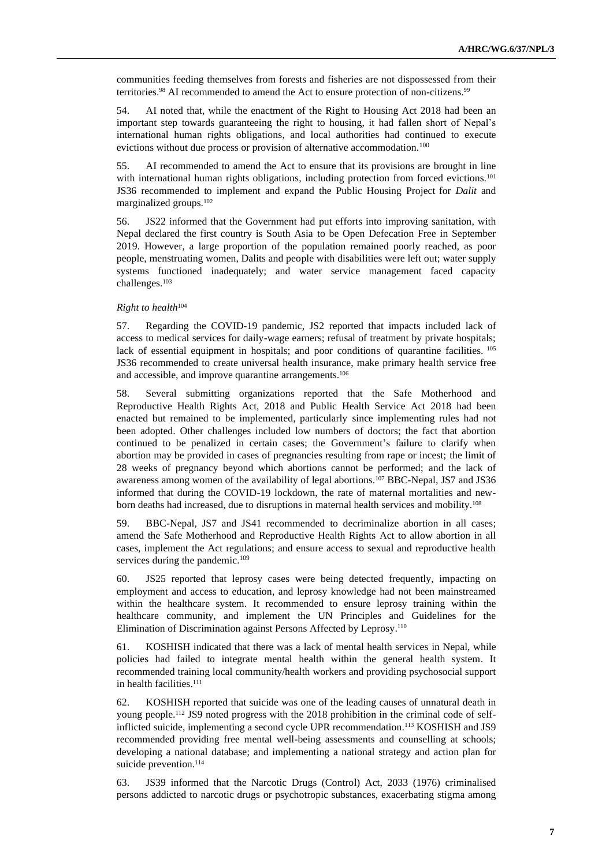communities feeding themselves from forests and fisheries are not dispossessed from their territories.<sup>98</sup> AI recommended to amend the Act to ensure protection of non-citizens.<sup>99</sup>

54. AI noted that, while the enactment of the Right to Housing Act 2018 had been an important step towards guaranteeing the right to housing, it had fallen short of Nepal's international human rights obligations, and local authorities had continued to execute evictions without due process or provision of alternative accommodation.<sup>100</sup>

55. AI recommended to amend the Act to ensure that its provisions are brought in line with international human rights obligations, including protection from forced evictions.<sup>101</sup> JS36 recommended to implement and expand the Public Housing Project for *Dalit* and marginalized groups.<sup>102</sup>

56. JS22 informed that the Government had put efforts into improving sanitation, with Nepal declared the first country is South Asia to be Open Defecation Free in September 2019. However, a large proportion of the population remained poorly reached, as poor people, menstruating women, Dalits and people with disabilities were left out; water supply systems functioned inadequately; and water service management faced capacity challenges. 103

#### *Right to health*<sup>104</sup>

57. Regarding the COVID-19 pandemic, JS2 reported that impacts included lack of access to medical services for daily-wage earners; refusal of treatment by private hospitals; lack of essential equipment in hospitals; and poor conditions of quarantine facilities. <sup>105</sup> JS36 recommended to create universal health insurance, make primary health service free and accessible, and improve quarantine arrangements. 106

58. Several submitting organizations reported that the Safe Motherhood and Reproductive Health Rights Act, 2018 and Public Health Service Act 2018 had been enacted but remained to be implemented, particularly since implementing rules had not been adopted. Other challenges included low numbers of doctors; the fact that abortion continued to be penalized in certain cases; the Government's failure to clarify when abortion may be provided in cases of pregnancies resulting from rape or incest; the limit of 28 weeks of pregnancy beyond which abortions cannot be performed; and the lack of awareness among women of the availability of legal abortions.<sup>107</sup> BBC-Nepal, JS7 and JS36 informed that during the COVID-19 lockdown, the rate of maternal mortalities and newborn deaths had increased, due to disruptions in maternal health services and mobility.<sup>108</sup>

59. BBC-Nepal, JS7 and JS41 recommended to decriminalize abortion in all cases; amend the Safe Motherhood and Reproductive Health Rights Act to allow abortion in all cases, implement the Act regulations; and ensure access to sexual and reproductive health services during the pandemic.<sup>109</sup>

60. JS25 reported that leprosy cases were being detected frequently, impacting on employment and access to education, and leprosy knowledge had not been mainstreamed within the healthcare system. It recommended to ensure leprosy training within the healthcare community, and implement the UN Principles and Guidelines for the Elimination of Discrimination against Persons Affected by Leprosy.<sup>110</sup>

61. KOSHISH indicated that there was a lack of mental health services in Nepal, while policies had failed to integrate mental health within the general health system. It recommended training local community/health workers and providing psychosocial support in health facilities. 111

62. KOSHISH reported that suicide was one of the leading causes of unnatural death in young people.<sup>112</sup> JS9 noted progress with the 2018 prohibition in the criminal code of selfinflicted suicide, implementing a second cycle UPR recommendation.<sup>113</sup> KOSHISH and JS9 recommended providing free mental well-being assessments and counselling at schools; developing a national database; and implementing a national strategy and action plan for suicide prevention.<sup>114</sup>

63. JS39 informed that the Narcotic Drugs (Control) Act, 2033 (1976) criminalised persons addicted to narcotic drugs or psychotropic substances, exacerbating stigma among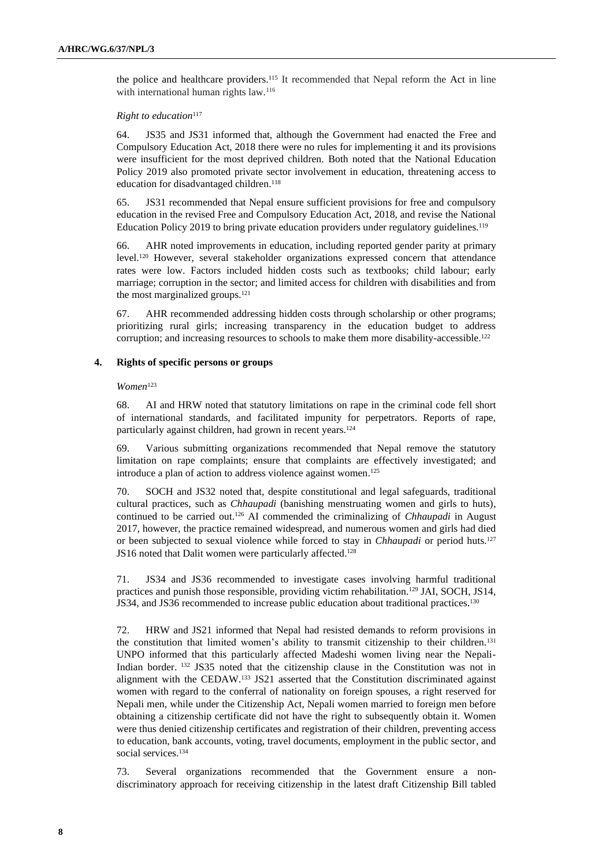the police and healthcare providers. <sup>115</sup> It recommended that Nepal reform the Act in line with international human rights law.<sup>116</sup>

#### *Right to education*<sup>117</sup>

64. JS35 and JS31 informed that, although the Government had enacted the Free and Compulsory Education Act, 2018 there were no rules for implementing it and its provisions were insufficient for the most deprived children. Both noted that the National Education Policy 2019 also promoted private sector involvement in education, threatening access to education for disadvantaged children.<sup>118</sup>

65. JS31 recommended that Nepal ensure sufficient provisions for free and compulsory education in the revised Free and Compulsory Education Act, 2018, and revise the National Education Policy 2019 to bring private education providers under regulatory guidelines.<sup>119</sup>

66. AHR noted improvements in education, including reported gender parity at primary level.<sup>120</sup> However, several stakeholder organizations expressed concern that attendance rates were low. Factors included hidden costs such as textbooks; child labour; early marriage; corruption in the sector; and limited access for children with disabilities and from the most marginalized groups.<sup>121</sup>

67. AHR recommended addressing hidden costs through scholarship or other programs; prioritizing rural girls; increasing transparency in the education budget to address corruption; and increasing resources to schools to make them more disability-accessible.<sup>122</sup>

#### **4. Rights of specific persons or groups**

#### *Women*<sup>123</sup>

68. AI and HRW noted that statutory limitations on rape in the criminal code fell short of international standards, and facilitated impunity for perpetrators. Reports of rape, particularly against children, had grown in recent years.<sup>124</sup>

69. Various submitting organizations recommended that Nepal remove the statutory limitation on rape complaints; ensure that complaints are effectively investigated; and introduce a plan of action to address violence against women. 125

70. SOCH and JS32 noted that, despite constitutional and legal safeguards, traditional cultural practices, such as *Chhaupadi* (banishing menstruating women and girls to huts), continued to be carried out.<sup>126</sup> AI commended the criminalizing of *Chhaupadi* in August 2017, however, the practice remained widespread, and numerous women and girls had died or been subjected to sexual violence while forced to stay in *Chhaupadi* or period huts.<sup>127</sup> JS16 noted that Dalit women were particularly affected. 128

71. JS34 and JS36 recommended to investigate cases involving harmful traditional practices and punish those responsible, providing victim rehabilitation.<sup>129</sup> JAI, SOCH, JS14, JS34, and JS36 recommended to increase public education about traditional practices.<sup>130</sup>

72. HRW and JS21 informed that Nepal had resisted demands to reform provisions in the constitution that limited women's ability to transmit citizenship to their children.<sup>131</sup> UNPO informed that this particularly affected Madeshi women living near the Nepali-Indian border. <sup>132</sup> JS35 noted that the citizenship clause in the Constitution was not in alignment with the CEDAW.<sup>133</sup> JS21 asserted that the Constitution discriminated against women with regard to the conferral of nationality on foreign spouses, a right reserved for Nepali men, while under the Citizenship Act, Nepali women married to foreign men before obtaining a citizenship certificate did not have the right to subsequently obtain it. Women were thus denied citizenship certificates and registration of their children, preventing access to education, bank accounts, voting, travel documents, employment in the public sector, and social services.<sup>134</sup>

73. Several organizations recommended that the Government ensure a nondiscriminatory approach for receiving citizenship in the latest draft Citizenship Bill tabled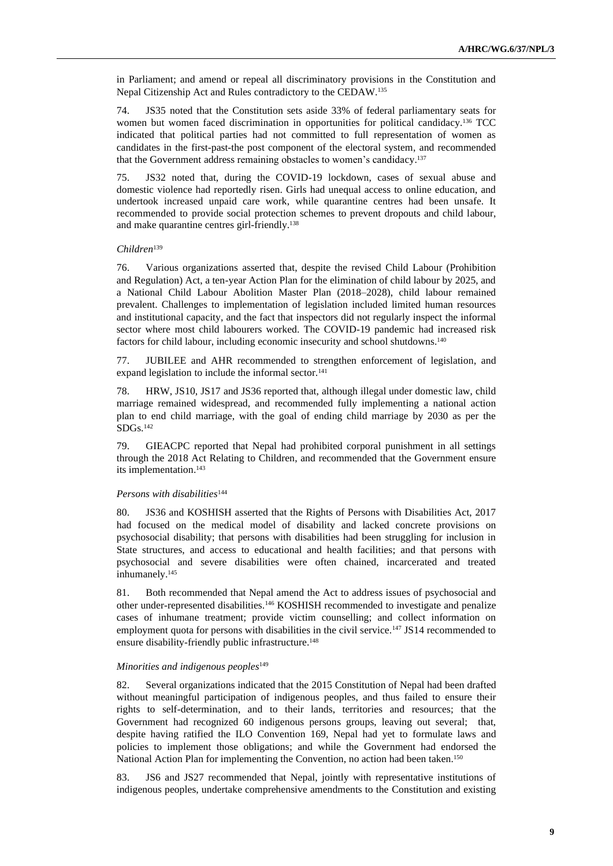in Parliament; and amend or repeal all discriminatory provisions in the Constitution and Nepal Citizenship Act and Rules contradictory to the CEDAW. 135

74. JS35 noted that the Constitution sets aside 33% of federal parliamentary seats for women but women faced discrimination in opportunities for political candidacy.<sup>136</sup> TCC indicated that political parties had not committed to full representation of women as candidates in the first-past-the post component of the electoral system, and recommended that the Government address remaining obstacles to women's candidacy. 137

75. JS32 noted that, during the COVID-19 lockdown, cases of sexual abuse and domestic violence had reportedly risen. Girls had unequal access to online education, and undertook increased unpaid care work, while quarantine centres had been unsafe. It recommended to provide social protection schemes to prevent dropouts and child labour, and make quarantine centres girl-friendly.<sup>138</sup>

#### *Children*<sup>139</sup>

76. Various organizations asserted that, despite the revised Child Labour (Prohibition and Regulation) Act, a ten-year Action Plan for the elimination of child labour by 2025, and a National Child Labour Abolition Master Plan (2018–2028), child labour remained prevalent. Challenges to implementation of legislation included limited human resources and institutional capacity, and the fact that inspectors did not regularly inspect the informal sector where most child labourers worked. The COVID-19 pandemic had increased risk factors for child labour, including economic insecurity and school shutdowns. 140

77. JUBILEE and AHR recommended to strengthen enforcement of legislation, and expand legislation to include the informal sector*.* 141

78. HRW, JS10, JS17 and JS36 reported that, although illegal under domestic law, child marriage remained widespread, and recommended fully implementing a national action plan to end child marriage, with the goal of ending child marriage by 2030 as per the SDGs.<sup>142</sup>

79. GIEACPC reported that Nepal had prohibited corporal punishment in all settings through the 2018 Act Relating to Children, and recommended that the Government ensure its implementation. 143

#### *Persons with disabilities*<sup>144</sup>

80. JS36 and KOSHISH asserted that the Rights of Persons with Disabilities Act, 2017 had focused on the medical model of disability and lacked concrete provisions on psychosocial disability; that persons with disabilities had been struggling for inclusion in State structures, and access to educational and health facilities; and that persons with psychosocial and severe disabilities were often chained, incarcerated and treated inhumanely. 145

81. Both recommended that Nepal amend the Act to address issues of psychosocial and other under-represented disabilities.<sup>146</sup> KOSHISH recommended to investigate and penalize cases of inhumane treatment; provide victim counselling; and collect information on employment quota for persons with disabilities in the civil service.<sup>147</sup> JS14 recommended to ensure disability-friendly public infrastructure. 148

#### *Minorities and indigenous peoples*<sup>149</sup>

82. Several organizations indicated that the 2015 Constitution of Nepal had been drafted without meaningful participation of indigenous peoples, and thus failed to ensure their rights to self-determination, and to their lands, territories and resources; that the Government had recognized 60 indigenous persons groups, leaving out several; that, despite having ratified the ILO Convention 169, Nepal had yet to formulate laws and policies to implement those obligations; and while the Government had endorsed the National Action Plan for implementing the Convention, no action had been taken.<sup>150</sup>

83. JS6 and JS27 recommended that Nepal, jointly with representative institutions of indigenous peoples, undertake comprehensive amendments to the Constitution and existing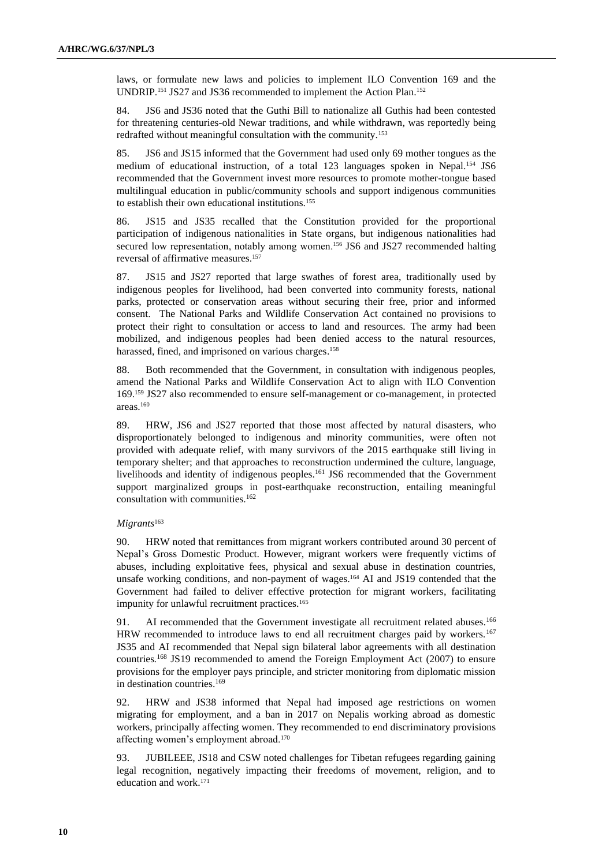laws, or formulate new laws and policies to implement ILO Convention 169 and the UNDRIP.<sup>151</sup> JS27 and JS36 recommended to implement the Action Plan.<sup>152</sup>

84. JS6 and JS36 noted that the Guthi Bill to nationalize all Guthis had been contested for threatening centuries-old Newar traditions, and while withdrawn, was reportedly being redrafted without meaningful consultation with the community.<sup>153</sup>

85. JS6 and JS15 informed that the Government had used only 69 mother tongues as the medium of educational instruction, of a total 123 languages spoken in Nepal.<sup>154</sup> JS6 recommended that the Government invest more resources to promote mother-tongue based multilingual education in public/community schools and support indigenous communities to establish their own educational institutions.<sup>155</sup>

86. JS15 and JS35 recalled that the Constitution provided for the proportional participation of indigenous nationalities in State organs, but indigenous nationalities had secured low representation, notably among women. <sup>156</sup> JS6 and JS27 recommended halting reversal of affirmative measures. 157

87. JS15 and JS27 reported that large swathes of forest area, traditionally used by indigenous peoples for livelihood, had been converted into community forests, national parks, protected or conservation areas without securing their free, prior and informed consent. The National Parks and Wildlife Conservation Act contained no provisions to protect their right to consultation or access to land and resources. The army had been mobilized, and indigenous peoples had been denied access to the natural resources, harassed, fined, and imprisoned on various charges. 158

88. Both recommended that the Government, in consultation with indigenous peoples, amend the National Parks and Wildlife Conservation Act to align with ILO Convention 169.<sup>159</sup> JS27 also recommended to ensure self-management or co-management, in protected areas.<sup>160</sup>

89. HRW, JS6 and JS27 reported that those most affected by natural disasters, who disproportionately belonged to indigenous and minority communities, were often not provided with adequate relief, with many survivors of the 2015 earthquake still living in temporary shelter; and that approaches to reconstruction undermined the culture, language, livelihoods and identity of indigenous peoples.<sup>161</sup> JS6 recommended that the Government support marginalized groups in post-earthquake reconstruction, entailing meaningful consultation with communities. 162

#### *Migrants*<sup>163</sup>

90. HRW noted that remittances from migrant workers contributed around 30 percent of Nepal's Gross Domestic Product. However, migrant workers were frequently victims of abuses, including exploitative fees, physical and sexual abuse in destination countries, unsafe working conditions, and non-payment of wages. <sup>164</sup> AI and JS19 contended that the Government had failed to deliver effective protection for migrant workers, facilitating impunity for unlawful recruitment practices.<sup>165</sup>

91. AI recommended that the Government investigate all recruitment related abuses.<sup>166</sup> HRW recommended to introduce laws to end all recruitment charges paid by workers.<sup>167</sup> JS35 and AI recommended that Nepal sign bilateral labor agreements with all destination countries*.* <sup>168</sup> JS19 recommended to amend the Foreign Employment Act (2007) to ensure provisions for the employer pays principle, and stricter monitoring from diplomatic mission in destination countries.<sup>169</sup>

92. HRW and JS38 informed that Nepal had imposed age restrictions on women migrating for employment, and a ban in 2017 on Nepalis working abroad as domestic workers, principally affecting women. They recommended to end discriminatory provisions affecting women's employment abroad.<sup>170</sup>

93. JUBILEEE, JS18 and CSW noted challenges for Tibetan refugees regarding gaining legal recognition, negatively impacting their freedoms of movement, religion, and to education and work.171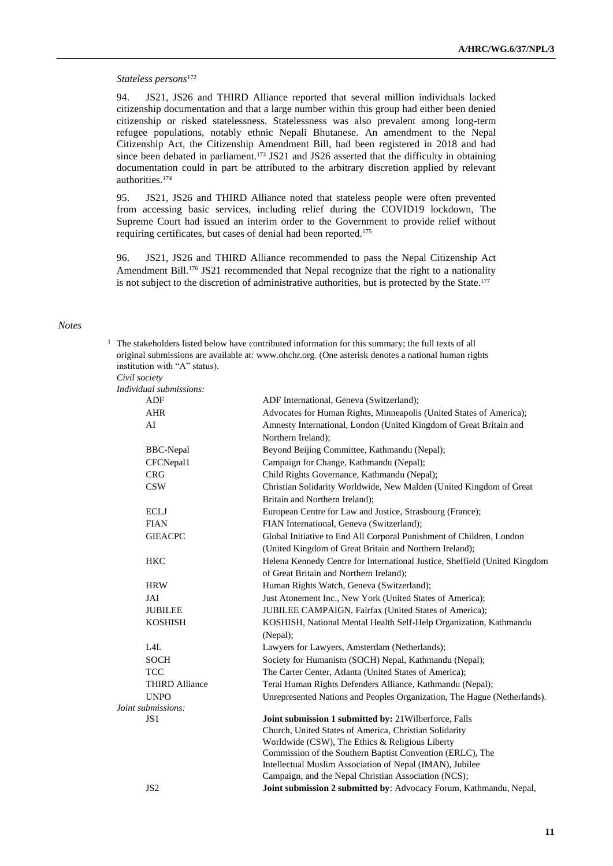#### *Stateless persons*<sup>172</sup>

94. JS21, JS26 and THIRD Alliance reported that several million individuals lacked citizenship documentation and that a large number within this group had either been denied citizenship or risked statelessness. Statelessness was also prevalent among long-term refugee populations, notably ethnic Nepali Bhutanese. An amendment to the Nepal Citizenship Act, the Citizenship Amendment Bill, had been registered in 2018 and had since been debated in parliament.<sup>173</sup> JS21 and JS26 asserted that the difficulty in obtaining documentation could in part be attributed to the arbitrary discretion applied by relevant authorities. 174

95. JS21, JS26 and THIRD Alliance noted that stateless people were often prevented from accessing basic services, including relief during the COVID19 lockdown, The Supreme Court had issued an interim order to the Government to provide relief without requiring certificates, but cases of denial had been reported.<sup>175</sup>

96. JS21, JS26 and THIRD Alliance recommended to pass the Nepal Citizenship Act Amendment Bill.<sup>176</sup> JS21 recommended that Nepal recognize that the right to a nationality is not subject to the discretion of administrative authorities, but is protected by the State. 177

 $1$  The stakeholders listed below have contributed information for this summary; the full texts of all

#### *Notes*

| institution with "A" status). | original submissions are available at: www.ohchr.org. (One asterisk denotes a national human rights              |
|-------------------------------|------------------------------------------------------------------------------------------------------------------|
| Civil society                 |                                                                                                                  |
| Individual submissions:       |                                                                                                                  |
| <b>ADF</b>                    | ADF International, Geneva (Switzerland);                                                                         |
| <b>AHR</b>                    | Advocates for Human Rights, Minneapolis (United States of America);                                              |
| AI                            | Amnesty International, London (United Kingdom of Great Britain and<br>Northern Ireland);                         |
| <b>BBC-Nepal</b>              | Beyond Beijing Committee, Kathmandu (Nepal);                                                                     |
| CFCNepal1                     | Campaign for Change, Kathmandu (Nepal);                                                                          |
| <b>CRG</b>                    | Child Rights Governance, Kathmandu (Nepal);                                                                      |
| <b>CSW</b>                    | Christian Solidarity Worldwide, New Malden (United Kingdom of Great                                              |
|                               | Britain and Northern Ireland);                                                                                   |
| <b>ECLJ</b>                   | European Centre for Law and Justice, Strasbourg (France);                                                        |
| <b>FIAN</b>                   | FIAN International, Geneva (Switzerland);                                                                        |
| <b>GIEACPC</b>                | Global Initiative to End All Corporal Punishment of Children, London                                             |
|                               | (United Kingdom of Great Britain and Northern Ireland);                                                          |
| <b>HKC</b>                    | Helena Kennedy Centre for International Justice, Sheffield (United Kingdom                                       |
|                               | of Great Britain and Northern Ireland);                                                                          |
| <b>HRW</b>                    | Human Rights Watch, Geneva (Switzerland);                                                                        |
| JAI                           | Just Atonement Inc., New York (United States of America);                                                        |
| <b>JUBILEE</b>                | JUBILEE CAMPAIGN, Fairfax (United States of America);                                                            |
| <b>KOSHISH</b>                | KOSHISH, National Mental Health Self-Help Organization, Kathmandu                                                |
|                               | (Nepal);                                                                                                         |
| L4L                           | Lawyers for Lawyers, Amsterdam (Netherlands);                                                                    |
| <b>SOCH</b>                   | Society for Humanism (SOCH) Nepal, Kathmandu (Nepal);                                                            |
| <b>TCC</b>                    | The Carter Center, Atlanta (United States of America);                                                           |
| <b>THIRD Alliance</b>         | Terai Human Rights Defenders Alliance, Kathmandu (Nepal);                                                        |
| <b>UNPO</b>                   | Unrepresented Nations and Peoples Organization, The Hague (Netherlands).                                         |
| Joint submissions:            |                                                                                                                  |
| JS1                           | Joint submission 1 submitted by: 21Wilberforce, Falls                                                            |
|                               | Church, United States of America, Christian Solidarity                                                           |
|                               | Worldwide (CSW), The Ethics & Religious Liberty                                                                  |
|                               | Commission of the Southern Baptist Convention (ERLC), The                                                        |
|                               | Intellectual Muslim Association of Nepal (IMAN), Jubilee<br>Campaign, and the Nepal Christian Association (NCS); |
|                               |                                                                                                                  |
| JS <sub>2</sub>               | Joint submission 2 submitted by: Advocacy Forum, Kathmandu, Nepal,                                               |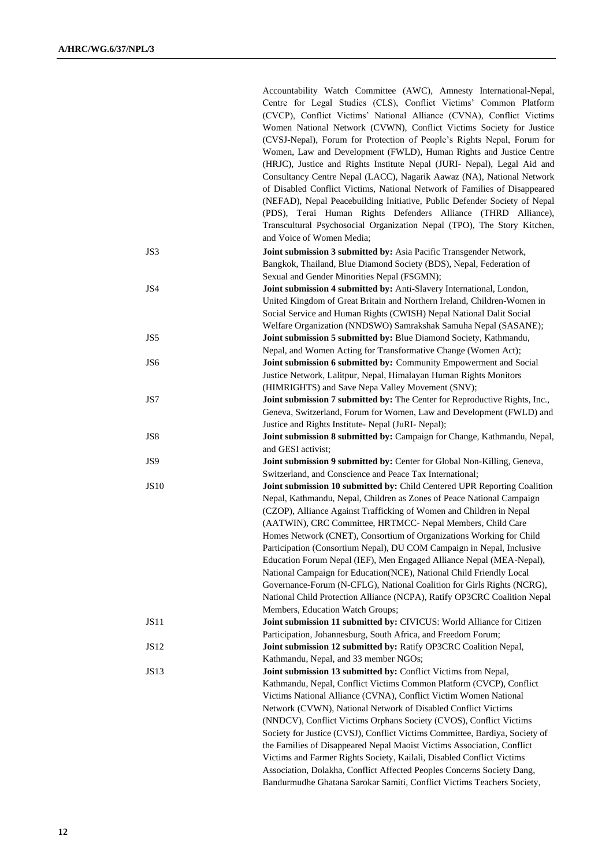|             | Accountability Watch Committee (AWC), Amnesty International-Nepal,<br>Centre for Legal Studies (CLS), Conflict Victims' Common Platform<br>(CVCP), Conflict Victims' National Alliance (CVNA), Conflict Victims<br>Women National Network (CVWN), Conflict Victims Society for Justice |
|-------------|----------------------------------------------------------------------------------------------------------------------------------------------------------------------------------------------------------------------------------------------------------------------------------------|
|             | (CVSJ-Nepal), Forum for Protection of People's Rights Nepal, Forum for                                                                                                                                                                                                                 |
|             | Women, Law and Development (FWLD), Human Rights and Justice Centre                                                                                                                                                                                                                     |
|             | (HRJC), Justice and Rights Institute Nepal (JURI- Nepal), Legal Aid and                                                                                                                                                                                                                |
|             | Consultancy Centre Nepal (LACC), Nagarik Aawaz (NA), National Network                                                                                                                                                                                                                  |
|             | of Disabled Conflict Victims, National Network of Families of Disappeared                                                                                                                                                                                                              |
|             | (NEFAD), Nepal Peacebuilding Initiative, Public Defender Society of Nepal                                                                                                                                                                                                              |
|             | (PDS), Terai Human Rights Defenders Alliance (THRD Alliance),                                                                                                                                                                                                                          |
|             | Transcultural Psychosocial Organization Nepal (TPO), The Story Kitchen,                                                                                                                                                                                                                |
|             | and Voice of Women Media;                                                                                                                                                                                                                                                              |
| JS3         | Joint submission 3 submitted by: Asia Pacific Transgender Network,                                                                                                                                                                                                                     |
|             | Bangkok, Thailand, Blue Diamond Society (BDS), Nepal, Federation of                                                                                                                                                                                                                    |
|             | Sexual and Gender Minorities Nepal (FSGMN);                                                                                                                                                                                                                                            |
| JS4         | Joint submission 4 submitted by: Anti-Slavery International, London,                                                                                                                                                                                                                   |
|             | United Kingdom of Great Britain and Northern Ireland, Children-Women in                                                                                                                                                                                                                |
|             | Social Service and Human Rights (CWISH) Nepal National Dalit Social                                                                                                                                                                                                                    |
|             | Welfare Organization (NNDSWO) Samrakshak Samuha Nepal (SASANE);                                                                                                                                                                                                                        |
| JS5         | Joint submission 5 submitted by: Blue Diamond Society, Kathmandu,                                                                                                                                                                                                                      |
|             | Nepal, and Women Acting for Transformative Change (Women Act);                                                                                                                                                                                                                         |
| JS6         | Joint submission 6 submitted by: Community Empowerment and Social                                                                                                                                                                                                                      |
|             | Justice Network, Lalitpur, Nepal, Himalayan Human Rights Monitors                                                                                                                                                                                                                      |
|             | (HIMRIGHTS) and Save Nepa Valley Movement (SNV);                                                                                                                                                                                                                                       |
| JS7         | Joint submission 7 submitted by: The Center for Reproductive Rights, Inc.,                                                                                                                                                                                                             |
|             | Geneva, Switzerland, Forum for Women, Law and Development (FWLD) and                                                                                                                                                                                                                   |
|             | Justice and Rights Institute- Nepal (JuRI- Nepal);                                                                                                                                                                                                                                     |
| JS8         | Joint submission 8 submitted by: Campaign for Change, Kathmandu, Nepal,                                                                                                                                                                                                                |
| JS9         | and GESI activist;<br>Joint submission 9 submitted by: Center for Global Non-Killing, Geneva,                                                                                                                                                                                          |
|             | Switzerland, and Conscience and Peace Tax International;                                                                                                                                                                                                                               |
| <b>JS10</b> | Joint submission 10 submitted by: Child Centered UPR Reporting Coalition                                                                                                                                                                                                               |
|             | Nepal, Kathmandu, Nepal, Children as Zones of Peace National Campaign                                                                                                                                                                                                                  |
|             | (CZOP), Alliance Against Trafficking of Women and Children in Nepal                                                                                                                                                                                                                    |
|             | (AATWIN), CRC Committee, HRTMCC- Nepal Members, Child Care                                                                                                                                                                                                                             |
|             | Homes Network (CNET), Consortium of Organizations Working for Child                                                                                                                                                                                                                    |
|             | Participation (Consortium Nepal), DU COM Campaign in Nepal, Inclusive                                                                                                                                                                                                                  |
|             | Education Forum Nepal (IEF), Men Engaged Alliance Nepal (MEA-Nepal),                                                                                                                                                                                                                   |
|             | National Campaign for Education(NCE), National Child Friendly Local                                                                                                                                                                                                                    |
|             | Governance-Forum (N-CFLG), National Coalition for Girls Rights (NCRG),                                                                                                                                                                                                                 |
|             | National Child Protection Alliance (NCPA), Ratify OP3CRC Coalition Nepal                                                                                                                                                                                                               |
|             | Members, Education Watch Groups;                                                                                                                                                                                                                                                       |
| JS11        | Joint submission 11 submitted by: CIVICUS: World Alliance for Citizen                                                                                                                                                                                                                  |
|             | Participation, Johannesburg, South Africa, and Freedom Forum;                                                                                                                                                                                                                          |
| JS12        | Joint submission 12 submitted by: Ratify OP3CRC Coalition Nepal,                                                                                                                                                                                                                       |
|             | Kathmandu, Nepal, and 33 member NGOs;                                                                                                                                                                                                                                                  |
| <b>JS13</b> | Joint submission 13 submitted by: Conflict Victims from Nepal,                                                                                                                                                                                                                         |
|             | Kathmandu, Nepal, Conflict Victims Common Platform (CVCP), Conflict                                                                                                                                                                                                                    |
|             | Victims National Alliance (CVNA), Conflict Victim Women National                                                                                                                                                                                                                       |
|             | Network (CVWN), National Network of Disabled Conflict Victims                                                                                                                                                                                                                          |
|             | (NNDCV), Conflict Victims Orphans Society (CVOS), Conflict Victims                                                                                                                                                                                                                     |
|             | Society for Justice (CVSJ), Conflict Victims Committee, Bardiya, Society of                                                                                                                                                                                                            |
|             | the Families of Disappeared Nepal Maoist Victims Association, Conflict                                                                                                                                                                                                                 |
|             | Victims and Farmer Rights Society, Kailali, Disabled Conflict Victims                                                                                                                                                                                                                  |
|             | Association, Dolakha, Conflict Affected Peoples Concerns Society Dang,                                                                                                                                                                                                                 |
|             | Bandurmudhe Ghatana Sarokar Samiti, Conflict Victims Teachers Society,                                                                                                                                                                                                                 |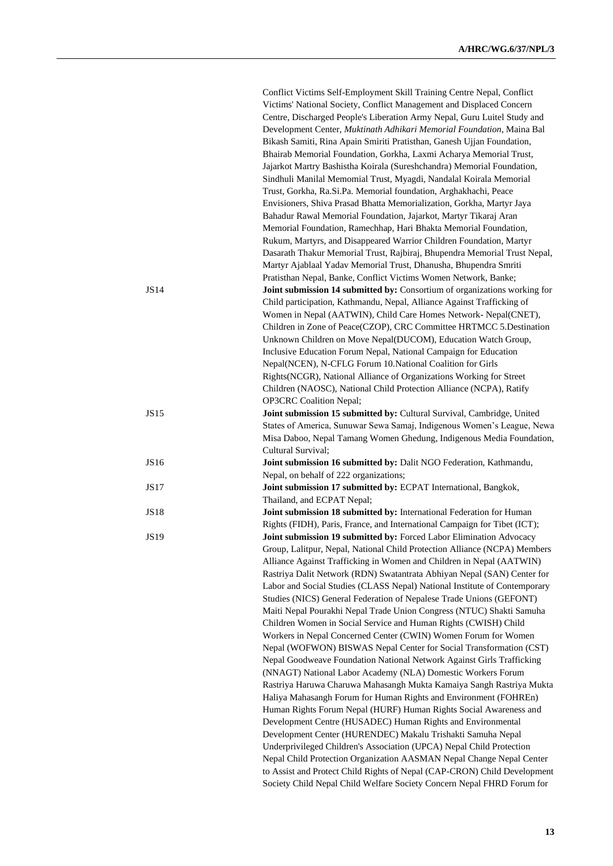|             | Conflict Victims Self-Employment Skill Training Centre Nepal, Conflict                                                                          |
|-------------|-------------------------------------------------------------------------------------------------------------------------------------------------|
|             | Victims' National Society, Conflict Management and Displaced Concern                                                                            |
|             | Centre, Discharged People's Liberation Army Nepal, Guru Luitel Study and                                                                        |
|             | Development Center, Muktinath Adhikari Memorial Foundation, Maina Bal                                                                           |
|             | Bikash Samiti, Rina Apain Smiriti Pratisthan, Ganesh Ujjan Foundation,                                                                          |
|             | Bhairab Memorial Foundation, Gorkha, Laxmi Acharya Memorial Trust,                                                                              |
|             | Jajarkot Martry Bashistha Koirala (Sureshchandra) Memorial Foundation,                                                                          |
|             | Sindhuli Manilal Memomial Trust, Myagdi, Nandalal Koirala Memorial                                                                              |
|             | Trust, Gorkha, Ra.Si.Pa. Memorial foundation, Arghakhachi, Peace                                                                                |
|             | Envisioners, Shiva Prasad Bhatta Memorialization, Gorkha, Martyr Jaya                                                                           |
|             | Bahadur Rawal Memorial Foundation, Jajarkot, Martyr Tikaraj Aran                                                                                |
|             | Memorial Foundation, Ramechhap, Hari Bhakta Memorial Foundation,                                                                                |
|             | Rukum, Martyrs, and Disappeared Warrior Children Foundation, Martyr                                                                             |
|             | Dasarath Thakur Memorial Trust, Rajbiraj, Bhupendra Memorial Trust Nepal,                                                                       |
|             | Martyr Ajablaal Yadav Memorial Trust, Dhanusha, Bhupendra Smriti                                                                                |
|             | Pratisthan Nepal, Banke, Conflict Victims Women Network, Banke;                                                                                 |
| JS14        | Joint submission 14 submitted by: Consortium of organizations working for                                                                       |
|             | Child participation, Kathmandu, Nepal, Alliance Against Trafficking of                                                                          |
|             | Women in Nepal (AATWIN), Child Care Homes Network- Nepal(CNET),                                                                                 |
|             | Children in Zone of Peace(CZOP), CRC Committee HRTMCC 5.Destination                                                                             |
|             | Unknown Children on Move Nepal(DUCOM), Education Watch Group,                                                                                   |
|             | Inclusive Education Forum Nepal, National Campaign for Education                                                                                |
|             | Nepal(NCEN), N-CFLG Forum 10. National Coalition for Girls                                                                                      |
|             | Rights(NCGR), National Alliance of Organizations Working for Street                                                                             |
|             | Children (NAOSC), National Child Protection Alliance (NCPA), Ratify                                                                             |
|             | <b>OP3CRC</b> Coalition Nepal;                                                                                                                  |
| JS15        | Joint submission 15 submitted by: Cultural Survival, Cambridge, United                                                                          |
|             | States of America, Sunuwar Sewa Samaj, Indigenous Women's League, Newa                                                                          |
|             | Misa Daboo, Nepal Tamang Women Ghedung, Indigenous Media Foundation,                                                                            |
|             | Cultural Survival;                                                                                                                              |
| JS16        | Joint submission 16 submitted by: Dalit NGO Federation, Kathmandu,                                                                              |
|             | Nepal, on behalf of 222 organizations;                                                                                                          |
| <b>JS17</b> | Joint submission 17 submitted by: ECPAT International, Bangkok,                                                                                 |
|             | Thailand, and ECPAT Nepal;                                                                                                                      |
| <b>JS18</b> | Joint submission 18 submitted by: International Federation for Human                                                                            |
|             | Rights (FIDH), Paris, France, and International Campaign for Tibet (ICT);                                                                       |
| JS19        | Joint submission 19 submitted by: Forced Labor Elimination Advocacy                                                                             |
|             | Group, Lalitpur, Nepal, National Child Protection Alliance (NCPA) Members                                                                       |
|             | Alliance Against Trafficking in Women and Children in Nepal (AATWIN)<br>Rastriya Dalit Network (RDN) Swatantrata Abhiyan Nepal (SAN) Center for |
|             | Labor and Social Studies (CLASS Nepal) National Institute of Contemporary                                                                       |
|             |                                                                                                                                                 |
|             | Studies (NICS) General Federation of Nepalese Trade Unions (GEFONT)                                                                             |
|             | Maiti Nepal Pourakhi Nepal Trade Union Congress (NTUC) Shakti Samuha<br>Children Women in Social Service and Human Rights (CWISH) Child         |
|             | Workers in Nepal Concerned Center (CWIN) Women Forum for Women                                                                                  |
|             | Nepal (WOFWON) BISWAS Nepal Center for Social Transformation (CST)                                                                              |
|             | Nepal Goodweave Foundation National Network Against Girls Trafficking                                                                           |
|             | (NNAGT) National Labor Academy (NLA) Domestic Workers Forum                                                                                     |
|             | Rastriya Haruwa Charuwa Mahasangh Mukta Kamaiya Sangh Rastriya Mukta                                                                            |
|             | Haliya Mahasangh Forum for Human Rights and Environment (FOHREn)                                                                                |
|             | Human Rights Forum Nepal (HURF) Human Rights Social Awareness and                                                                               |
|             | Development Centre (HUSADEC) Human Rights and Environmental                                                                                     |
|             | Development Center (HURENDEC) Makalu Trishakti Samuha Nepal                                                                                     |
|             | Underprivileged Children's Association (UPCA) Nepal Child Protection                                                                            |
|             | Nepal Child Protection Organization AASMAN Nepal Change Nepal Center                                                                            |
|             | to Assist and Protect Child Rights of Nepal (CAP-CRON) Child Development                                                                        |
|             | Society Child Nepal Child Welfare Society Concern Nepal FHRD Forum for                                                                          |
|             |                                                                                                                                                 |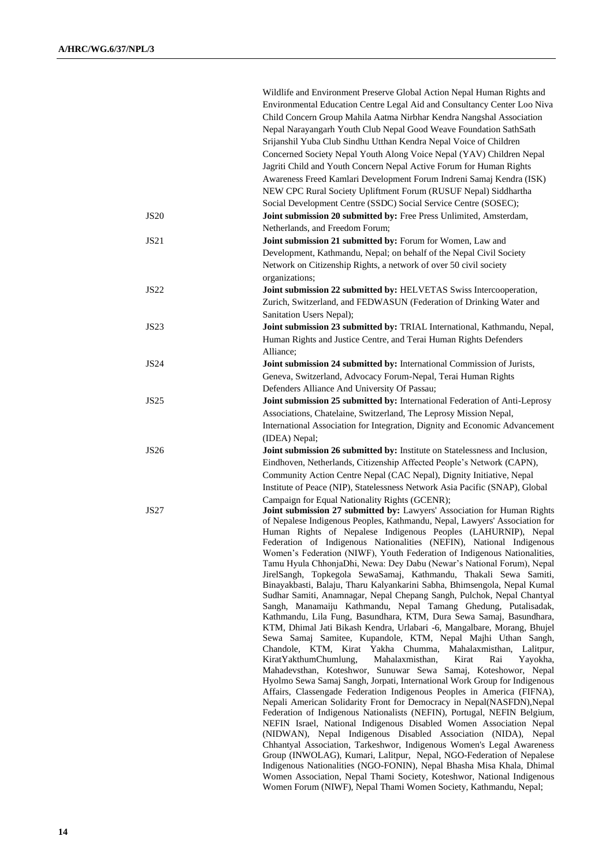|             | Wildlife and Environment Preserve Global Action Nepal Human Rights and<br>Environmental Education Centre Legal Aid and Consultancy Center Loo Niva<br>Child Concern Group Mahila Aatma Nirbhar Kendra Nangshal Association<br>Nepal Narayangarh Youth Club Nepal Good Weave Foundation SathSath                                                             |
|-------------|-------------------------------------------------------------------------------------------------------------------------------------------------------------------------------------------------------------------------------------------------------------------------------------------------------------------------------------------------------------|
|             | Srijanshil Yuba Club Sindhu Utthan Kendra Nepal Voice of Children<br>Concerned Society Nepal Youth Along Voice Nepal (YAV) Children Nepal<br>Jagriti Child and Youth Concern Nepal Active Forum for Human Rights<br>Awareness Freed Kamlari Development Forum Indreni Samaj Kendra (ISK)<br>NEW CPC Rural Society Upliftment Forum (RUSUF Nepal) Siddhartha |
|             | Social Development Centre (SSDC) Social Service Centre (SOSEC);                                                                                                                                                                                                                                                                                             |
| <b>JS20</b> | Joint submission 20 submitted by: Free Press Unlimited, Amsterdam,                                                                                                                                                                                                                                                                                          |
| JS21        | Netherlands, and Freedom Forum;<br>Joint submission 21 submitted by: Forum for Women, Law and                                                                                                                                                                                                                                                               |
|             | Development, Kathmandu, Nepal; on behalf of the Nepal Civil Society<br>Network on Citizenship Rights, a network of over 50 civil society                                                                                                                                                                                                                    |
|             | organizations;                                                                                                                                                                                                                                                                                                                                              |
| <b>JS22</b> | Joint submission 22 submitted by: HELVETAS Swiss Intercooperation,<br>Zurich, Switzerland, and FEDWASUN (Federation of Drinking Water and<br>Sanitation Users Nepal);                                                                                                                                                                                       |
| <b>JS23</b> | Joint submission 23 submitted by: TRIAL International, Kathmandu, Nepal,<br>Human Rights and Justice Centre, and Terai Human Rights Defenders<br>Alliance;                                                                                                                                                                                                  |
| <b>JS24</b> | Joint submission 24 submitted by: International Commission of Jurists,<br>Geneva, Switzerland, Advocacy Forum-Nepal, Terai Human Rights                                                                                                                                                                                                                     |
| <b>JS25</b> | Defenders Alliance And University Of Passau;<br>Joint submission 25 submitted by: International Federation of Anti-Leprosy                                                                                                                                                                                                                                  |
|             | Associations, Chatelaine, Switzerland, The Leprosy Mission Nepal,<br>International Association for Integration, Dignity and Economic Advancement<br>(IDEA) Nepal;                                                                                                                                                                                           |
| <b>JS26</b> | Joint submission 26 submitted by: Institute on Statelessness and Inclusion,                                                                                                                                                                                                                                                                                 |
|             | Eindhoven, Netherlands, Citizenship Affected People's Network (CAPN),                                                                                                                                                                                                                                                                                       |
|             | Community Action Centre Nepal (CAC Nepal), Dignity Initiative, Nepal                                                                                                                                                                                                                                                                                        |
|             | Institute of Peace (NIP), Statelessness Network Asia Pacific (SNAP), Global                                                                                                                                                                                                                                                                                 |
| <b>JS27</b> | Campaign for Equal Nationality Rights (GCENR);<br>Joint submission 27 submitted by: Lawyers' Association for Human Rights<br>of Nepalese Indigenous Peoples, Kathmandu, Nepal, Lawyers' Association for                                                                                                                                                     |
|             | Human Rights of Nepalese Indigenous Peoples (LAHURNIP), Nepal<br>Federation of Indigenous Nationalities (NEFIN), National Indigenous<br>Women's Federation (NIWF), Youth Federation of Indigenous Nationalities,<br>Tamu Hyula ChhonjaDhi, Newa: Dey Dabu (Newar's National Forum), Nepal                                                                   |
|             | JirelSangh, Topkegola SewaSamaj, Kathmandu, Thakali Sewa Samiti,<br>Binayakbasti, Balaju, Tharu Kalyankarini Sabha, Bhimsengola, Nepal Kumal                                                                                                                                                                                                                |
|             | Sudhar Samiti, Anamnagar, Nepal Chepang Sangh, Pulchok, Nepal Chantyal<br>Sangh, Manamaiju Kathmandu, Nepal Tamang Ghedung, Putalisadak,<br>Kathmandu, Lila Fung, Basundhara, KTM, Dura Sewa Samaj, Basundhara,                                                                                                                                             |
|             | KTM, Dhimal Jati Bikash Kendra, Urlabari -6, Mangalbare, Morang, Bhujel<br>Sewa Samaj Samitee, Kupandole, KTM, Nepal Majhi Uthan Sangh,                                                                                                                                                                                                                     |
|             | Yakha Chumma,<br>Chandole, KTM, Kirat<br>Mahalaxmisthan, Lalitpur,<br>KiratYakthumChumlung,<br>Mahalaxmisthan,<br>Kirat<br>Rai<br>Yayokha,<br>Mahadevsthan, Koteshwor, Sunuwar Sewa Samaj, Koteshowor, Nepal                                                                                                                                                |
|             | Hyolmo Sewa Samaj Sangh, Jorpati, International Work Group for Indigenous<br>Affairs, Classengade Federation Indigenous Peoples in America (FIFNA),                                                                                                                                                                                                         |
|             | Nepali American Solidarity Front for Democracy in Nepal(NASFDN), Nepal<br>Federation of Indigenous Nationalists (NEFIN), Portugal, NEFIN Belgium,<br>NEFIN Israel, National Indigenous Disabled Women Association Nepal                                                                                                                                     |
|             | (NIDWAN), Nepal Indigenous Disabled Association (NIDA), Nepal                                                                                                                                                                                                                                                                                               |
|             | Chhantyal Association, Tarkeshwor, Indigenous Women's Legal Awareness<br>Group (INWOLAG), Kumari, Lalitpur, Nepal, NGO-Federation of Nepalese                                                                                                                                                                                                               |
|             | Indigenous Nationalities (NGO-FONIN), Nepal Bhasha Misa Khala, Dhimal                                                                                                                                                                                                                                                                                       |
|             | Women Association, Nepal Thami Society, Koteshwor, National Indigenous                                                                                                                                                                                                                                                                                      |
|             | Women Forum (NIWF), Nepal Thami Women Society, Kathmandu, Nepal;                                                                                                                                                                                                                                                                                            |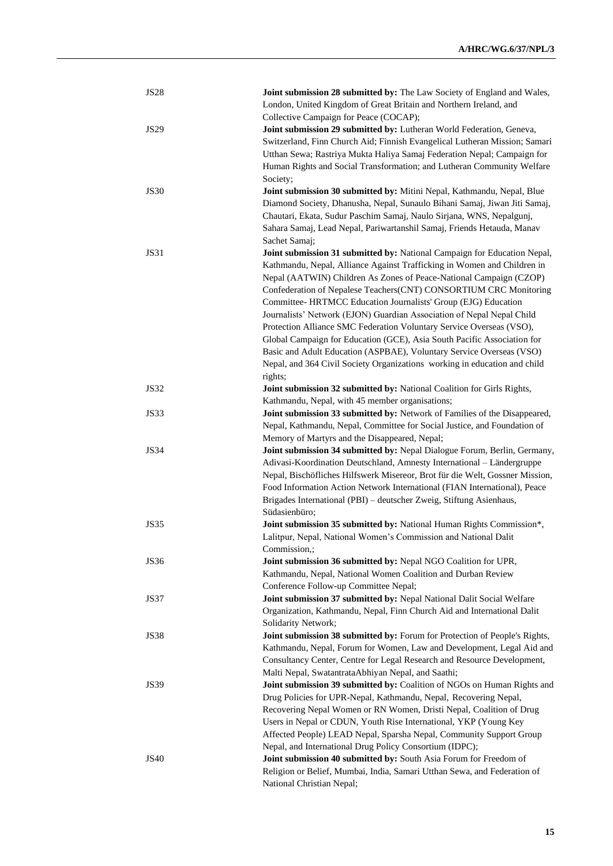| <b>JS28</b> | Joint submission 28 submitted by: The Law Society of England and Wales,              |
|-------------|--------------------------------------------------------------------------------------|
|             | London, United Kingdom of Great Britain and Northern Ireland, and                    |
|             | Collective Campaign for Peace (COCAP);                                               |
| <b>JS29</b> | Joint submission 29 submitted by: Lutheran World Federation, Geneva,                 |
|             | Switzerland, Finn Church Aid; Finnish Evangelical Lutheran Mission; Samari           |
|             | Utthan Sewa; Rastriya Mukta Haliya Samaj Federation Nepal; Campaign for              |
|             | Human Rights and Social Transformation; and Lutheran Community Welfare               |
|             | Society;                                                                             |
| <b>JS30</b> | Joint submission 30 submitted by: Mitini Nepal, Kathmandu, Nepal, Blue               |
|             | Diamond Society, Dhanusha, Nepal, Sunaulo Bihani Samaj, Jiwan Jiti Samaj,            |
|             | Chautari, Ekata, Sudur Paschim Samaj, Naulo Sirjana, WNS, Nepalgunj,                 |
|             | Sahara Samaj, Lead Nepal, Pariwartanshil Samaj, Friends Hetauda, Manav               |
|             | Sachet Samaj;                                                                        |
| JS31        | Joint submission 31 submitted by: National Campaign for Education Nepal,             |
|             | Kathmandu, Nepal, Alliance Against Trafficking in Women and Children in              |
|             | Nepal (AATWIN) Children As Zones of Peace-National Campaign (CZOP)                   |
|             | Confederation of Nepalese Teachers(CNT) CONSORTIUM CRC Monitoring                    |
|             | Committee- HRTMCC Education Journalists' Group (EJG) Education                       |
|             | Journalists' Network (EJON) Guardian Association of Nepal Nepal Child                |
|             | Protection Alliance SMC Federation Voluntary Service Overseas (VSO),                 |
|             | Global Campaign for Education (GCE), Asia South Pacific Association for              |
|             | Basic and Adult Education (ASPBAE), Voluntary Service Overseas (VSO)                 |
|             | Nepal, and 364 Civil Society Organizations working in education and child            |
|             | rights;                                                                              |
| JS32        | Joint submission 32 submitted by: National Coalition for Girls Rights,               |
|             | Kathmandu, Nepal, with 45 member organisations;                                      |
| JS33        | Joint submission 33 submitted by: Network of Families of the Disappeared,            |
|             | Nepal, Kathmandu, Nepal, Committee for Social Justice, and Foundation of             |
|             | Memory of Martyrs and the Disappeared, Nepal;                                        |
| JS34        | Joint submission 34 submitted by: Nepal Dialogue Forum, Berlin, Germany,             |
|             | Adivasi-Koordination Deutschland, Amnesty International - Ländergruppe               |
|             | Nepal, Bischöfliches Hilfswerk Misereor, Brot für die Welt, Gossner Mission,         |
|             | Food Information Action Network International (FIAN International), Peace            |
|             | Brigades International (PBI) - deutscher Zweig, Stiftung Asienhaus,<br>Südasienbüro; |
| JS35        | Joint submission 35 submitted by: National Human Rights Commission*,                 |
|             | Lalitpur, Nepal, National Women's Commission and National Dalit                      |
|             | Commission,;                                                                         |
| JS36        | Joint submission 36 submitted by: Nepal NGO Coalition for UPR,                       |
|             | Kathmandu, Nepal, National Women Coalition and Durban Review                         |
|             | Conference Follow-up Committee Nepal;                                                |
| JS37        | Joint submission 37 submitted by: Nepal National Dalit Social Welfare                |
|             | Organization, Kathmandu, Nepal, Finn Church Aid and International Dalit              |
|             | Solidarity Network;                                                                  |
| <b>JS38</b> | Joint submission 38 submitted by: Forum for Protection of People's Rights,           |
|             | Kathmandu, Nepal, Forum for Women, Law and Development, Legal Aid and                |
|             | Consultancy Center, Centre for Legal Research and Resource Development,              |
|             | Malti Nepal, SwatantrataAbhiyan Nepal, and Saathi;                                   |
| <b>JS39</b> | Joint submission 39 submitted by: Coalition of NGOs on Human Rights and              |
|             | Drug Policies for UPR-Nepal, Kathmandu, Nepal, Recovering Nepal,                     |
|             | Recovering Nepal Women or RN Women, Dristi Nepal, Coalition of Drug                  |
|             | Users in Nepal or CDUN, Youth Rise International, YKP (Young Key                     |
|             | Affected People) LEAD Nepal, Sparsha Nepal, Community Support Group                  |
|             | Nepal, and International Drug Policy Consortium (IDPC);                              |
| <b>JS40</b> | Joint submission 40 submitted by: South Asia Forum for Freedom of                    |
|             | Religion or Belief, Mumbai, India, Samari Utthan Sewa, and Federation of             |
|             | National Christian Nepal;                                                            |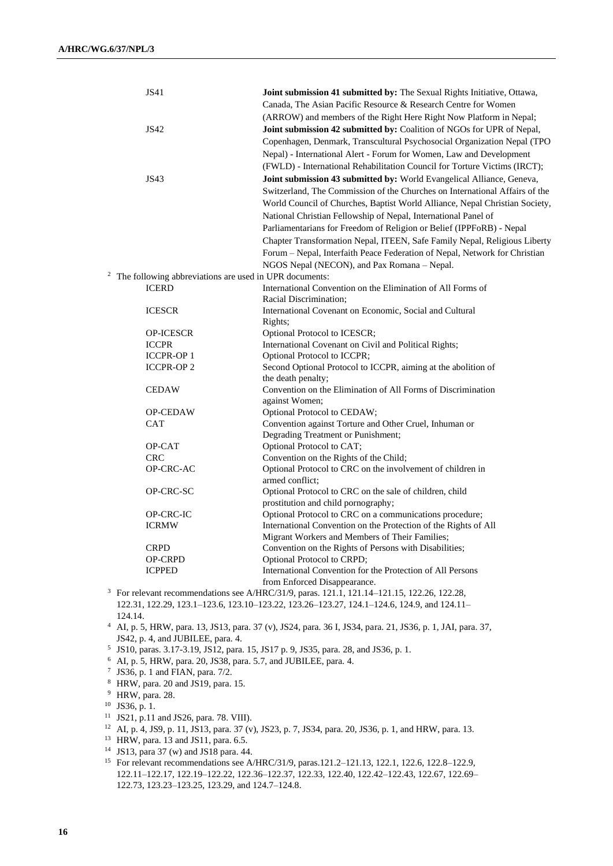|              | JS41                                                                   | Joint submission 41 submitted by: The Sexual Rights Initiative, Ottawa,                                                    |
|--------------|------------------------------------------------------------------------|----------------------------------------------------------------------------------------------------------------------------|
|              |                                                                        | Canada, The Asian Pacific Resource & Research Centre for Women                                                             |
|              |                                                                        | (ARROW) and members of the Right Here Right Now Platform in Nepal;                                                         |
|              | JS42                                                                   | Joint submission 42 submitted by: Coalition of NGOs for UPR of Nepal,                                                      |
|              |                                                                        | Copenhagen, Denmark, Transcultural Psychosocial Organization Nepal (TPO                                                    |
|              |                                                                        | Nepal) - International Alert - Forum for Women, Law and Development                                                        |
|              |                                                                        | (FWLD) - International Rehabilitation Council for Torture Victims (IRCT);                                                  |
|              | <b>JS43</b>                                                            | Joint submission 43 submitted by: World Evangelical Alliance, Geneva,                                                      |
|              |                                                                        | Switzerland, The Commission of the Churches on International Affairs of the                                                |
|              |                                                                        | World Council of Churches, Baptist World Alliance, Nepal Christian Society,                                                |
|              |                                                                        | National Christian Fellowship of Nepal, International Panel of                                                             |
|              |                                                                        | Parliamentarians for Freedom of Religion or Belief (IPPFoRB) - Nepal                                                       |
|              |                                                                        |                                                                                                                            |
|              |                                                                        | Chapter Transformation Nepal, ITEEN, Safe Family Nepal, Religious Liberty                                                  |
|              |                                                                        | Forum - Nepal, Interfaith Peace Federation of Nepal, Network for Christian                                                 |
| $\mathbf{2}$ |                                                                        | NGOS Nepal (NECON), and Pax Romana - Nepal.                                                                                |
|              | The following abbreviations are used in UPR documents:<br><b>ICERD</b> | International Convention on the Elimination of All Forms of                                                                |
|              |                                                                        | Racial Discrimination;                                                                                                     |
|              | <b>ICESCR</b>                                                          | International Covenant on Economic, Social and Cultural                                                                    |
|              |                                                                        | Rights;                                                                                                                    |
|              | <b>OP-ICESCR</b>                                                       | Optional Protocol to ICESCR;                                                                                               |
|              | <b>ICCPR</b>                                                           | International Covenant on Civil and Political Rights;                                                                      |
|              | <b>ICCPR-OP 1</b>                                                      | Optional Protocol to ICCPR;                                                                                                |
|              | <b>ICCPR-OP 2</b>                                                      | Second Optional Protocol to ICCPR, aiming at the abolition of                                                              |
|              |                                                                        | the death penalty;                                                                                                         |
|              | <b>CEDAW</b>                                                           | Convention on the Elimination of All Forms of Discrimination                                                               |
|              |                                                                        | against Women;                                                                                                             |
|              | <b>OP-CEDAW</b>                                                        | Optional Protocol to CEDAW;                                                                                                |
|              | <b>CAT</b>                                                             | Convention against Torture and Other Cruel, Inhuman or                                                                     |
|              |                                                                        | Degrading Treatment or Punishment;                                                                                         |
|              | OP-CAT                                                                 | Optional Protocol to CAT;                                                                                                  |
|              | <b>CRC</b>                                                             | Convention on the Rights of the Child;                                                                                     |
|              | OP-CRC-AC                                                              | Optional Protocol to CRC on the involvement of children in                                                                 |
|              |                                                                        | armed conflict;                                                                                                            |
|              | OP-CRC-SC                                                              | Optional Protocol to CRC on the sale of children, child                                                                    |
|              | OP-CRC-IC                                                              | prostitution and child pornography;                                                                                        |
|              | <b>ICRMW</b>                                                           | Optional Protocol to CRC on a communications procedure;<br>International Convention on the Protection of the Rights of All |
|              |                                                                        | Migrant Workers and Members of Their Families;                                                                             |
|              | <b>CRPD</b>                                                            | Convention on the Rights of Persons with Disabilities;                                                                     |
|              | OP-CRPD                                                                | Optional Protocol to CRPD;                                                                                                 |
|              | <b>ICPPED</b>                                                          | International Convention for the Protection of All Persons                                                                 |
|              |                                                                        | from Enforced Disappearance.                                                                                               |
|              |                                                                        | <sup>3</sup> For relevant recommendations see A/HRC/31/9, paras. 121.1, 121.14-121.15, 122.26, 122.28,                     |
|              |                                                                        | 122.31, 122.29, 123.1-123.6, 123.10-123.22, 123.26-123.27, 124.1-124.6, 124.9, and 124.11-                                 |
|              | 124.14.                                                                |                                                                                                                            |
| 4            |                                                                        | AI, p. 5, HRW, para. 13, JS13, para. 37 (v), JS24, para. 36 I, JS34, para. 21, JS36, p. 1, JAI, para. 37,                  |
|              | JS42, p. 4, and JUBILEE, para. 4.                                      |                                                                                                                            |

- 5 JS10, paras. 3.17-3.19, JS12, para. 15, JS17 p. 9, JS35, para. 28, and JS36, p. 1.
- <sup>6</sup> AI, p. 5, HRW, para. 20, JS38, para. 5.7, and JUBILEE, para. 4.
- 7 JS36, p. 1 and FIAN, para. 7/2.
- <sup>8</sup> HRW, para. 20 and JS19, para. 15.
- <sup>9</sup> HRW, para. 28.
- <sup>10</sup> JS36, p. 1.
- <sup>11</sup> JS21, p.11 and JS26, para. 78. VIII).
- <sup>12</sup> AI, p. 4, JS9, p. 11, JS13, para. 37 (v), JS23, p. 7, JS34, para. 20, JS36, p. 1, and HRW, para. 13.
- <sup>13</sup> HRW, para. 13 and JS11, para. 6.5.
- <sup>14</sup> JS13, para 37 (w) and JS18 para. 44.
- <sup>15</sup> For relevant recommendations see A/HRC/31/9, paras.121.2–121.13, 122.1, 122.6, 122.8–122.9, 122.11–122.17, 122.19–122.22, 122.36–122.37, 122.33, 122.40, 122.42–122.43, 122.67, 122.69– 122.73, 123.23–123.25, 123.29, and 124.7–124.8.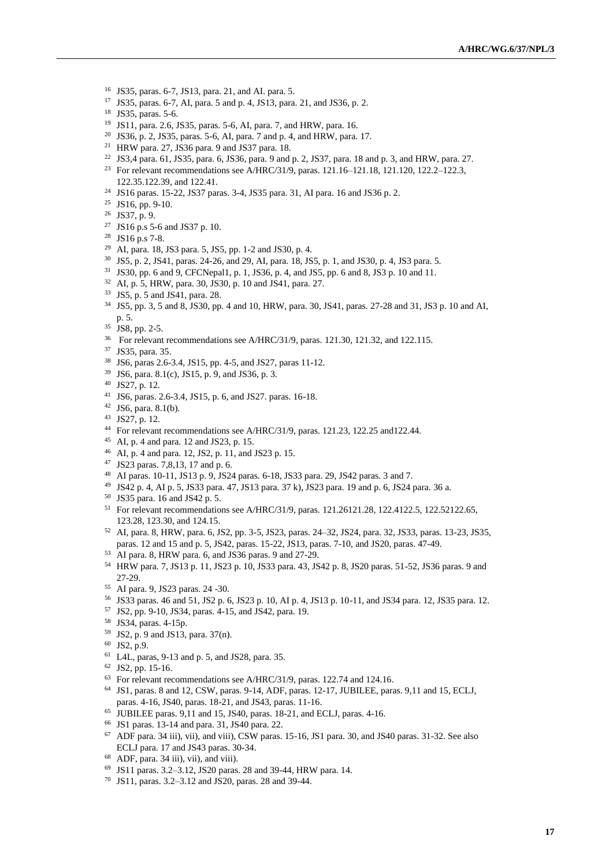- JS35, paras. 6-7, JS13, para. 21, and AI. para. 5.
- JS35, paras. 6-7, AI, para. 5 and p. 4, JS13, para. 21, and JS36, p. 2.
- JS35, paras. 5-6.
- JS11, para. 2.6, JS35, paras. 5-6, AI, para. 7, and HRW, para. 16.
- JS36, p. 2, JS35, paras. 5-6, AI, para. 7 and p. 4, and HRW, para. 17.
- HRW para. 27, JS36 para. 9 and JS37 para. 18.
- JS3,4 para. 61, JS35, para. 6, JS36, para. 9 and p. 2, JS37, para. 18 and p. 3, and HRW, para. 27.
- <sup>23</sup> For relevant recommendations see A/HRC/31/9, paras. 121.16–121.18, 121.120, 122.2–122.3, 122.35.122.39, and 122.41.
- JS16 paras. 15-22, JS37 paras. 3-4, JS35 para. 31, AI para. 16 and JS36 p. 2.
- JS16, pp. 9-10.
- JS37, p. 9.
- JS16 p.s 5-6 and JS37 p. 10.
- JS16 p.s 7-8.
- AI, para. 18, JS3 para. 5, JS5, pp. 1-2 and JS30, p. 4.
- JS5, p. 2, JS41, paras. 24-26, and 29, AI, para. 18, JS5, p. 1, and JS30, p. 4, JS3 para. 5.
- JS30, pp. 6 and 9, CFCNepal1, p. 1, JS36, p. 4, and JS5, pp. 6 and 8, JS3 p. 10 and 11.
- AI, p. 5, HRW, para. 30, JS30, p. 10 and JS41, para. 27.
- JS5, p. 5 and JS41, para. 28.
- JS5, pp. 3, 5 and 8, JS30, pp. 4 and 10, HRW, para. 30, JS41, paras. 27-28 and 31, JS3 p. 10 and AI, p. 5.
- <sup>35</sup> JS8, pp. 2-5.
- <sup>36</sup> For relevant recommendations see A/HRC/31/9, paras. 121.30, 121.32, and 122.115.
- JS35, para. 35.
- JS6, paras 2.6-3.4, JS15, pp. 4-5, and JS27, paras 11-12.
- JS6, para. 8.1(c), JS15, p. 9, and JS36, p. 3.
- JS27, p. 12.
- JS6, paras. 2.6-3.4, JS15, p. 6, and JS27. paras. 16-18.
- JS6, para. 8.1(b).
- JS27, p. 12.
- <sup>44</sup> For relevant recommendations see A/HRC/31/9, paras. 121.23, 122.25 and 122.44.
- AI, p. 4 and para. 12 and JS23, p. 15.
- AI, p. 4 and para. 12, JS2, p. 11, and JS23 p. 15.
- JS23 paras. 7,8,13, 17 and p. 6.
- AI paras. 10-11, JS13 p. 9, JS24 paras. 6-18, JS33 para. 29, JS42 paras. 3 and 7.
- JS42 p. 4, AI p. 5, JS33 para. 47, JS13 para. 37 k), JS23 para. 19 and p. 6, JS24 para. 36 a.
- JS35 para. 16 and JS42 p. 5.
- For relevant recommendations see A/HRC/31/9, paras. 121.26121.28, 122.4122.5, 122.52122.65, 123.28, 123.30, and 124.15.
- AI, para. 8, HRW, para. 6, JS2, pp. 3-5, JS23, paras. 24–32, JS24, para. 32, JS33, paras. 13-23, JS35, paras. 12 and 15 and p. 5, JS42, paras. 15-22, JS13, paras. 7-10, and JS20, paras. 47-49.
- AI para. 8, HRW para. 6, and JS36 paras. 9 and 27-29.
- HRW para. 7, JS13 p. 11, JS23 p. 10, JS33 para. 43, JS42 p. 8, JS20 paras. 51-52, JS36 paras. 9 and 27-29.
- AI para. 9, JS23 paras. 24 -30.
- JS33 paras. 46 and 51, JS2 p. 6, JS23 p. 10, AI p. 4, JS13 p. 10-11, and JS34 para. 12, JS35 para. 12.
- JS2, pp. 9-10, JS34, paras. 4-15, and JS42, para. 19.
- JS34, paras. 4-15p.
- JS2, p. 9 and JS13, para. 37(n).
- JS2, p.9.
- L4L, paras, 9-13 and p. 5, and JS28, para. 35.
- JS2, pp. 15-16.
- For relevant recommendations see A/HRC/31/9, paras. 122.74 and 124.16.
- JS1, paras. 8 and 12, CSW, paras. 9-14, ADF, paras. 12-17, JUBILEE, paras. 9,11 and 15, ECLJ, paras. 4-16, JS40, paras. 18-21, and JS43, paras. 11-16.
- JUBILEE paras. 9,11 and 15, JS40, paras. 18-21, and ECLJ, paras. 4-16.
- JS1 paras. 13-14 and para. 31, JS40 para. 22.
- ADF para. 34 iii), vii), and viii), CSW paras. 15-16, JS1 para. 30, and JS40 paras. 31-32. See also ECLJ para. 17 and JS43 paras. 30-34.
- ADF, para. 34 iii), vii), and viii).
- JS11 paras. 3.2–3.12, JS20 paras. 28 and 39-44, HRW para. 14.
- JS11, paras. 3.2–3.12 and JS20, paras. 28 and 39-44.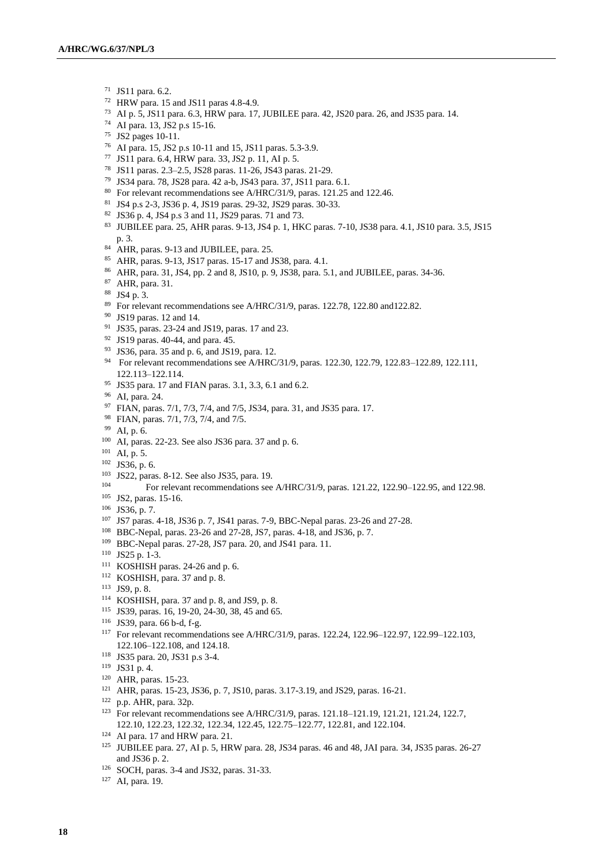- JS11 para. 6.2.
- HRW para. 15 and JS11 paras 4.8-4.9.
- AI p. 5, JS11 para. 6.3, HRW para. 17, JUBILEE para. 42, JS20 para. 26, and JS35 para. 14.
- AI para. 13, JS2 p.s 15-16.
- JS2 pages 10-11.
- AI para. 15, JS2 p.s 10-11 and 15, JS11 paras. 5.3-3.9.
- JS11 para. 6.4, HRW para. 33, JS2 p. 11, AI p. 5.
- JS11 paras. 2.3–2.5, JS28 paras. 11-26, JS43 paras. 21-29.
- JS34 para. 78, JS28 para. 42 a-b, JS43 para. 37, JS11 para. 6.1.
- For relevant recommendations see A/HRC/31/9, paras. 121.25 and 122.46.
- JS4 p.s 2-3, JS36 p. 4, JS19 paras. 29-32, JS29 paras. 30-33.
- JS36 p. 4, JS4 p.s 3 and 11, JS29 paras. 71 and 73.
- JUBILEE para. 25, AHR paras. 9-13, JS4 p. 1, HKC paras. 7-10, JS38 para. 4.1, JS10 para. 3.5, JS15 p. 3.
- 84 AHR, paras. 9-13 and JUBILEE, para. 25.
- AHR, paras. 9-13, JS17 paras. 15-17 and JS38, para. 4.1.
- AHR, para. 31, JS4, pp. 2 and 8, JS10, p. 9, JS38, para. 5.1, and JUBILEE, paras. 34-36.
- AHR, para. 31.
- JS4 p. 3.
- <sup>89</sup> For relevant recommendations see A/HRC/31/9, paras. 122.78, 122.80 and122.82.
- JS19 paras. 12 and 14.
- JS35, paras. 23-24 and JS19, paras. 17 and 23.
- JS19 paras. 40-44, and para. 45.
- JS36, para. 35 and p. 6, and JS19, para. 12.
- <sup>94</sup> For relevant recommendations see A/HRC/31/9, paras. 122.30, 122.79, 122.83-122.89, 122.111, 122.113–122.114.
- JS35 para. 17 and FIAN paras. 3.1, 3.3, 6.1 and 6.2.
- AI, para. 24.
- FIAN, paras. 7/1, 7/3, 7/4, and 7/5, JS34, para. 31, and JS35 para. 17.
- FIAN, paras. 7/1, 7/3, 7/4, and 7/5.
- AI, p. 6.
- AI, paras. 22-23. See also JS36 para. 37 and p. 6.
- AI, p. 5.
- JS36, p. 6.
- JS22, paras. 8-12. See also JS35, para. 19.
- For relevant recommendations see A/HRC/31/9, paras. 121.22, 122.90-122.95, and 122.98.
- JS2, paras. 15-16.
- JS36, p. 7.
- JS7 paras. 4-18, JS36 p. 7, JS41 paras. 7-9, BBC-Nepal paras. 23-26 and 27-28.
- BBC-Nepal, paras. 23-26 and 27-28, JS7, paras. 4-18, and JS36, p. 7.
- BBC-Nepal paras. 27-28, JS7 para. 20, and JS41 para. 11.
- JS25 p. 1-3.
- KOSHISH paras. 24-26 and p. 6.
- KOSHISH, para. 37 and p. 8.
- JS9, p. 8.
- KOSHISH, para. 37 and p. 8, and JS9, p. 8.
- JS39, paras. 16, 19-20, 24-30, 38, 45 and 65.
- JS39, para. 66 b-d, f-g.
- For relevant recommendations see A/HRC/31/9, paras. 122.24, 122.96–122.97, 122.99–122.103, 122.106–122.108, and 124.18.
- JS35 para. 20, JS31 p.s 3-4.
- JS31 p. 4.
- AHR, paras. 15-23.
- AHR, paras. 15-23, JS36, p. 7, JS10, paras. 3.17-3.19, and JS29, paras. 16-21.
- p.p. AHR, para. 32p.
- For relevant recommendations see A/HRC/31/9, paras. 121.18–121.19, 121.21, 121.24, 122.7, 122.10, 122.23, 122.32, 122.34, 122.45, 122.75–122.77, 122.81, and 122.104.
- AI para. 17 and HRW para. 21.
- JUBILEE para. 27, AI p. 5, HRW para. 28, JS34 paras. 46 and 48, JAI para. 34, JS35 paras. 26-27 and JS36 p. 2.
- SOCH, paras. 3-4 and JS32, paras. 31-33.

AI, para. 19.